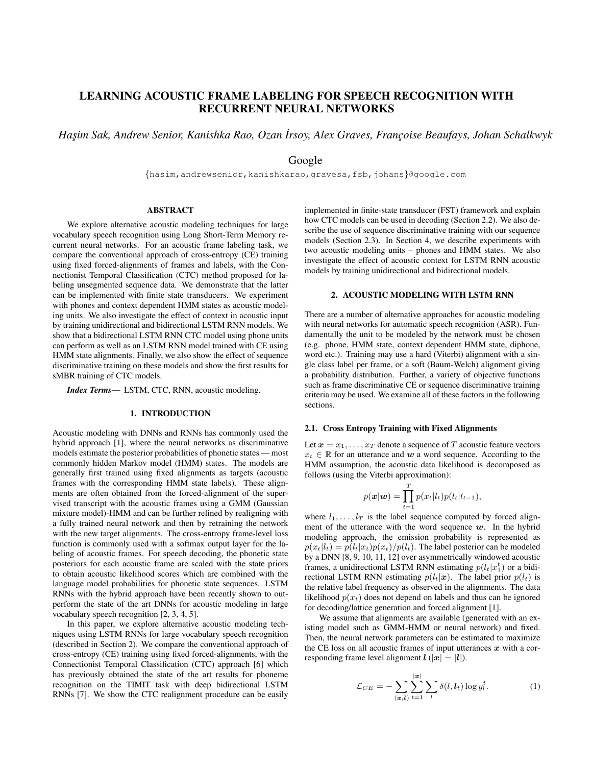# LEARNING ACOUSTIC FRAME LABELING FOR SPEECH RECOGNITION WITH RECURRENT NEURAL NETWORKS

*Has¸im Sak, Andrew Senior, Kanishka Rao, Ozan ˙Irsoy, Alex Graves, Franc¸oise Beaufays, Johan Schalkwyk*

# Google

{hasim,andrewsenior,kanishkarao,gravesa,fsb,johans}@google.com

### ABSTRACT

We explore alternative acoustic modeling techniques for large vocabulary speech recognition using Long Short-Term Memory recurrent neural networks. For an acoustic frame labeling task, we compare the conventional approach of cross-entropy (CE) training using fixed forced-alignments of frames and labels, with the Connectionist Temporal Classification (CTC) method proposed for labeling unsegmented sequence data. We demonstrate that the latter can be implemented with finite state transducers. We experiment with phones and context dependent HMM states as acoustic modeling units. We also investigate the effect of context in acoustic input by training unidirectional and bidirectional LSTM RNN models. We show that a bidirectional LSTM RNN CTC model using phone units can perform as well as an LSTM RNN model trained with CE using HMM state alignments. Finally, we also show the effect of sequence discriminative training on these models and show the first results for sMBR training of CTC models.

*Index Terms*— LSTM, CTC, RNN, acoustic modeling.

#### 1. INTRODUCTION

Acoustic modeling with DNNs and RNNs has commonly used the hybrid approach [1], where the neural networks as discriminative models estimate the posterior probabilities of phonetic states — most commonly hidden Markov model (HMM) states. The models are generally first trained using fixed alignments as targets (acoustic frames with the corresponding HMM state labels). These alignments are often obtained from the forced-alignment of the supervised transcript with the acoustic frames using a GMM (Gaussian mixture model)-HMM and can be further refined by realigning with a fully trained neural network and then by retraining the network with the new target alignments. The cross-entropy frame-level loss function is commonly used with a softmax output layer for the labeling of acoustic frames. For speech decoding, the phonetic state posteriors for each acoustic frame are scaled with the state priors to obtain acoustic likelihood scores which are combined with the language model probabilities for phonetic state sequences. LSTM RNNs with the hybrid approach have been recently shown to outperform the state of the art DNNs for acoustic modeling in large vocabulary speech recognition [2, 3, 4, 5].

In this paper, we explore alternative acoustic modeling techniques using LSTM RNNs for large vocabulary speech recognition (described in Section 2). We compare the conventional approach of cross-entropy (CE) training using fixed forced-alignments, with the Connectionist Temporal Classification (CTC) approach [6] which has previously obtained the state of the art results for phoneme recognition on the TIMIT task with deep bidirectional LSTM RNNs [7]. We show the CTC realignment procedure can be easily

implemented in finite-state transducer (FST) framework and explain how CTC models can be used in decoding (Section 2.2). We also describe the use of sequence discriminative training with our sequence models (Section 2.3). In Section 4, we describe experiments with two acoustic modeling units – phones and HMM states. We also investigate the effect of acoustic context for LSTM RNN acoustic models by training unidirectional and bidirectional models.

#### 2. ACOUSTIC MODELING WITH LSTM RNN

There are a number of alternative approaches for acoustic modeling with neural networks for automatic speech recognition (ASR). Fundamentally the unit to be modeled by the network must be chosen (e.g. phone, HMM state, context dependent HMM state, diphone, word etc.). Training may use a hard (Viterbi) alignment with a single class label per frame, or a soft (Baum-Welch) alignment giving a probability distribution. Further, a variety of objective functions such as frame discriminative CE or sequence discriminative training criteria may be used. We examine all of these factors in the following sections.

#### 2.1. Cross Entropy Training with Fixed Alignments

Let  $x = x_1, \ldots, x_T$  denote a sequence of T acoustic feature vectors  $x_t \in \mathbb{R}$  for an utterance and w a word sequence. According to the HMM assumption, the acoustic data likelihood is decomposed as follows (using the Viterbi approximation):

$$
p(\boldsymbol{x}|\boldsymbol{w}) = \prod_{t=1}^T p(x_t|l_t)p(l_t|l_{t-1}),
$$

where  $l_1, \ldots, l_T$  is the label sequence computed by forced alignment of the utterance with the word sequence  $w$ . In the hybrid modeling approach, the emission probability is represented as  $p(x_t|l_t) = p(l_t|x_t)p(x_t)/p(l_t)$ . The label posterior can be modeled by a DNN [8, 9, 10, 11, 12] over asymmetrically windowed acoustic frames, a unidirectional LSTM RNN estimating  $p(l_t|x_1^t)$  or a bidirectional LSTM RNN estimating  $p(l_t|\mathbf{x})$ . The label prior  $p(l_t)$  is the relative label frequency as observed in the alignments. The data likelihood  $p(x_t)$  does not depend on labels and thus can be ignored for decoding/lattice generation and forced alignment [1].

We assume that alignments are available (generated with an existing model such as GMM-HMM or neural network) and fixed. Then, the neural network parameters can be estimated to maximize the CE loss on all acoustic frames of input utterances  $x$  with a corresponding frame level alignment  $l(|x| = |l|)$ .

$$
\mathcal{L}_{CE} = -\sum_{(\mathbf{x},l)} \sum_{t=1}^{|\mathbf{x}|} \sum_{l} \delta(l, l_t) \log y_l^t. \tag{1}
$$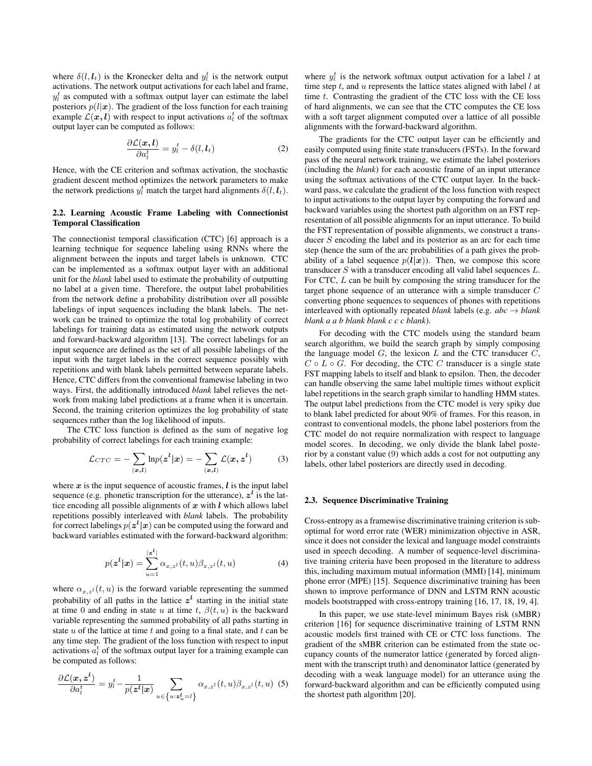where  $\delta(l, l_t)$  is the Kronecker delta and  $y_l^t$  is the network output activations. The network output activations for each label and frame,  $y_l^t$  as computed with a softmax output layer can estimate the label posteriors  $p(l|\mathbf{x})$ . The gradient of the loss function for each training example  $\mathcal{L}(\mathbf{x}, \mathbf{l})$  with respect to input activations  $a_l^t$  of the softmax output layer can be computed as follows:

$$
\frac{\partial \mathcal{L}(\boldsymbol{x}, \boldsymbol{l})}{\partial a_l^t} = y_l^t - \delta(l, l_t) \tag{2}
$$

Hence, with the CE criterion and softmax activation, the stochastic gradient descent method optimizes the network parameters to make the network predictions  $y_t^t$  match the target hard alignments  $\delta(l, l_t)$ .

## 2.2. Learning Acoustic Frame Labeling with Connectionist Temporal Classification

The connectionist temporal classification (CTC) [6] approach is a learning technique for sequence labeling using RNNs where the alignment between the inputs and target labels is unknown. CTC can be implemented as a softmax output layer with an additional unit for the *blank* label used to estimate the probability of outputting no label at a given time. Therefore, the output label probabilities from the network define a probability distribution over all possible labelings of input sequences including the blank labels. The network can be trained to optimize the total log probability of correct labelings for training data as estimated using the network outputs and forward-backward algorithm [13]. The correct labelings for an input sequence are defined as the set of all possible labelings of the input with the target labels in the correct sequence possibly with repetitions and with blank labels permitted between separate labels. Hence, CTC differs from the conventional framewise labeling in two ways. First, the additionally introduced *blank* label relieves the network from making label predictions at a frame when it is uncertain. Second, the training criterion optimizes the log probability of state sequences rather than the log likelihood of inputs.

The CTC loss function is defined as the sum of negative log probability of correct labelings for each training example:

$$
\mathcal{L}_{CTC} = -\sum_{(\bm{x},\bm{l})} \ln p(\bm{z}^{\bm{l}} | \bm{x}) = -\sum_{(\bm{x},\bm{l})} \mathcal{L}(\bm{x}, \bm{z}^{\bm{l}}) \tag{3}
$$

where  $x$  is the input sequence of acoustic frames,  $l$  is the input label sequence (e.g. phonetic transcription for the utterance),  $z^l$  is the lattice encoding all possible alignments of  $x$  with  $l$  which allows label repetitions possibly interleaved with *blank* labels. The probability for correct labelings  $p(z^l|x)$  can be computed using the forward and backward variables estimated with the forward-backward algorithm:

$$
p(\mathbf{z}^{l}|\mathbf{x}) = \sum_{u=1}^{|z^{l}|} \alpha_{x,z^{l}}(t,u)\beta_{x,z^{l}}(t,u)
$$
 (4)

where  $\alpha_{x,z}(t, u)$  is the forward variable representing the summed probability of all paths in the lattice  $z<sup>l</sup>$  starting in the initial state at time 0 and ending in state u at time t,  $\beta(t, u)$  is the backward variable representing the summed probability of all paths starting in state  $u$  of the lattice at time  $t$  and going to a final state, and  $t$  can be any time step. The gradient of the loss function with respect to input activations  $a_l^t$  of the softmax output layer for a training example can be computed as follows:

$$
\frac{\partial \mathcal{L}(\boldsymbol{x}, \boldsymbol{z}^l)}{\partial a_l^t} = y_l^t - \frac{1}{p(\boldsymbol{z}^l | \boldsymbol{x})} \sum_{u \in \{u : \boldsymbol{z}_u^l = l\}} \alpha_{x, z^l}(t, u) \beta_{x, z^l}(t, u) \tag{5}
$$

where  $y_i^t$  is the network softmax output activation for a label l at time step t, and  $u$  represents the lattice states aligned with label  $l$  at time  $t$ . Contrasting the gradient of the CTC loss with the CE loss of hard alignments, we can see that the CTC computes the CE loss with a soft target alignment computed over a lattice of all possible alignments with the forward-backward algorithm.

The gradients for the CTC output layer can be efficiently and easily computed using finite state transducers (FSTs). In the forward pass of the neural network training, we estimate the label posteriors (including the *blank*) for each acoustic frame of an input utterance using the softmax activations of the CTC output layer. In the backward pass, we calculate the gradient of the loss function with respect to input activations to the output layer by computing the forward and backward variables using the shortest path algorithm on an FST representation of all possible alignments for an input utterance. To build the FST representation of possible alignments, we construct a transducer S encoding the label and its posterior as an arc for each time step (hence the sum of the arc probabilities of a path gives the probability of a label sequence  $p(l|x)$ ). Then, we compose this score transducer  $S$  with a transducer encoding all valid label sequences  $L$ . For CTC, L can be built by composing the string transducer for the target phone sequence of an utterance with a simple transducer C converting phone sequences to sequences of phones with repetitions interleaved with optionally repeated *blank* labels (e.g.  $abc \rightarrow blank$ *blank a a b blank blank c c c blank*).

For decoding with the CTC models using the standard beam search algorithm, we build the search graph by simply composing the language model  $G$ , the lexicon  $L$  and the CTC transducer  $C$ ,  $C \circ L \circ G$ . For decoding, the CTC C transducer is a single state FST mapping labels to itself and blank to epsilon. Then, the decoder can handle observing the same label multiple times without explicit label repetitions in the search graph similar to handling HMM states. The output label predictions from the CTC model is very spiky due to blank label predicted for about 90% of frames. For this reason, in contrast to conventional models, the phone label posteriors from the CTC model do not require normalization with respect to language model scores. In decoding, we only divide the blank label posterior by a constant value (9) which adds a cost for not outputting any labels, other label posteriors are directly used in decoding.

#### 2.3. Sequence Discriminative Training

Cross-entropy as a framewise discriminative training criterion is suboptimal for word error rate (WER) minimization objective in ASR, since it does not consider the lexical and language model constraints used in speech decoding. A number of sequence-level discriminative training criteria have been proposed in the literature to address this, including maximum mutual information (MMI) [14], minimum phone error (MPE) [15]. Sequence discriminative training has been shown to improve performance of DNN and LSTM RNN acoustic models bootstrapped with cross-entropy training [16, 17, 18, 19, 4].

In this paper, we use state-level minimum Bayes risk (sMBR) criterion [16] for sequence discriminative training of LSTM RNN acoustic models first trained with CE or CTC loss functions. The gradient of the sMBR criterion can be estimated from the state occupancy counts of the numerator lattice (generated by forced alignment with the transcript truth) and denominator lattice (generated by decoding with a weak language model) for an utterance using the forward-backward algorithm and can be efficiently computed using the shortest path algorithm [20].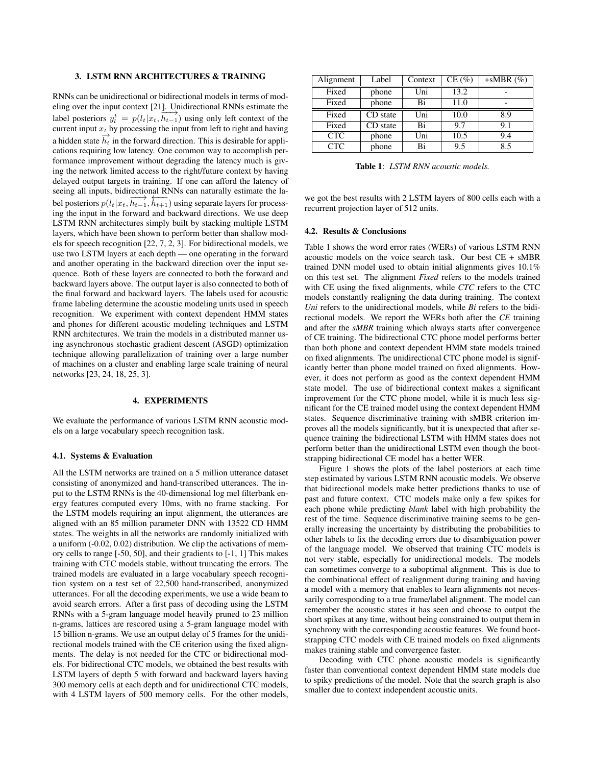#### 3. LSTM RNN ARCHITECTURES & TRAINING

RNNs can be unidirectional or bidirectional models in terms of modeling over the input context [21]. Unidirectional RNNs estimate the label posteriors  $y_l^t = p(l_t|x_t, \overline{h_{t-1}})$  using only left context of the current input  $x_t$  by processing the input from left to right and having a hidden state  $\overrightarrow{h_t}$  in the forward direction. This is desirable for applications requiring low latency. One common way to accomplish performance improvement without degrading the latency much is giving the network limited access to the right/future context by having delayed output targets in training. If one can afford the latency of seeing all inputs, bidirectional RNNs can naturally estimate the label posteriors  $p(l_t|x_t, \overrightarrow{h_{t-1}}, \overrightarrow{h_{t+1}})$  using separate layers for processing the input in the forward and backward directions. We use deep LSTM RNN architectures simply built by stacking multiple LSTM layers, which have been shown to perform better than shallow models for speech recognition [22, 7, 2, 3]. For bidirectional models, we use two LSTM layers at each depth — one operating in the forward and another operating in the backward direction over the input sequence. Both of these layers are connected to both the forward and backward layers above. The output layer is also connected to both of the final forward and backward layers. The labels used for acoustic frame labeling determine the acoustic modeling units used in speech recognition. We experiment with context dependent HMM states and phones for different acoustic modeling techniques and LSTM RNN architectures. We train the models in a distributed manner using asynchronous stochastic gradient descent (ASGD) optimization technique allowing parallelization of training over a large number of machines on a cluster and enabling large scale training of neural networks [23, 24, 18, 25, 3].

#### 4. EXPERIMENTS

We evaluate the performance of various LSTM RNN acoustic models on a large vocabulary speech recognition task.

#### 4.1. Systems & Evaluation

All the LSTM networks are trained on a 5 million utterance dataset consisting of anonymized and hand-transcribed utterances. The input to the LSTM RNNs is the 40-dimensional log mel filterbank energy features computed every 10ms, with no frame stacking. For the LSTM models requiring an input alignment, the utterances are aligned with an 85 million parameter DNN with 13522 CD HMM states. The weights in all the networks are randomly initialized with a uniform (-0.02, 0.02) distribution. We clip the activations of memory cells to range [-50, 50], and their gradients to [-1, 1] This makes training with CTC models stable, without truncating the errors. The trained models are evaluated in a large vocabulary speech recognition system on a test set of 22,500 hand-transcribed, anonymized utterances. For all the decoding experiments, we use a wide beam to avoid search errors. After a first pass of decoding using the LSTM RNNs with a 5-gram language model heavily pruned to 23 million n-grams, lattices are rescored using a 5-gram language model with 15 billion n-grams. We use an output delay of 5 frames for the unidirectional models trained with the CE criterion using the fixed alignments. The delay is not needed for the CTC or bidirectional models. For bidirectional CTC models, we obtained the best results with LSTM layers of depth 5 with forward and backward layers having 300 memory cells at each depth and for unidirectional CTC models, with 4 LSTM layers of 500 memory cells. For the other models,

| Alignment  | Label    | Context | $CE(\%)$ | $\overline{+sMBR}$ (%) |
|------------|----------|---------|----------|------------------------|
| Fixed      | phone    | Uni     | 13.2     |                        |
| Fixed      | phone    | Bi      | 11.0     |                        |
| Fixed      | CD state | Uni     | 10.0     | 8.9                    |
| Fixed      | CD state | Bi      | 9.7      | 9.1                    |
| <b>CTC</b> | phone    | Uni     | 10.5     | 9.4                    |
| <b>CTC</b> | phone    | Bi      | 9.5      | 8.5                    |

Table 1: *LSTM RNN acoustic models.*

we got the best results with 2 LSTM layers of 800 cells each with a recurrent projection layer of 512 units.

#### 4.2. Results & Conclusions

Table 1 shows the word error rates (WERs) of various LSTM RNN acoustic models on the voice search task. Our best CE + sMBR trained DNN model used to obtain initial alignments gives 10.1% on this test set. The alignment *Fixed* refers to the models trained with CE using the fixed alignments, while *CTC* refers to the CTC models constantly realigning the data during training. The context *Uni* refers to the unidirectional models, while *Bi* refers to the bidirectional models. We report the WERs both after the *CE* training and after the *sMBR* training which always starts after convergence of CE training. The bidirectional CTC phone model performs better than both phone and context dependent HMM state models trained on fixed alignments. The unidirectional CTC phone model is significantly better than phone model trained on fixed alignments. However, it does not perform as good as the context dependent HMM state model. The use of bidirectional context makes a significant improvement for the CTC phone model, while it is much less significant for the CE trained model using the context dependent HMM states. Sequence discriminative training with sMBR criterion improves all the models significantly, but it is unexpected that after sequence training the bidirectional LSTM with HMM states does not perform better than the unidirectional LSTM even though the bootstrapping bidirectional CE model has a better WER.

Figure 1 shows the plots of the label posteriors at each time step estimated by various LSTM RNN acoustic models. We observe that bidirectional models make better predictions thanks to use of past and future context. CTC models make only a few spikes for each phone while predicting *blank* label with high probability the rest of the time. Sequence discriminative training seems to be generally increasing the uncertainty by distributing the probabilities to other labels to fix the decoding errors due to disambiguation power of the language model. We observed that training CTC models is not very stable, especially for unidirectional models. The models can sometimes converge to a suboptimal alignment. This is due to the combinational effect of realignment during training and having a model with a memory that enables to learn alignments not necessarily corresponding to a true frame/label alignment. The model can remember the acoustic states it has seen and choose to output the short spikes at any time, without being constrained to output them in synchrony with the corresponding acoustic features. We found bootstrapping CTC models with CE trained models on fixed alignments makes training stable and convergence faster.

Decoding with CTC phone acoustic models is significantly faster than conventional context dependent HMM state models due to spiky predictions of the model. Note that the search graph is also smaller due to context independent acoustic units.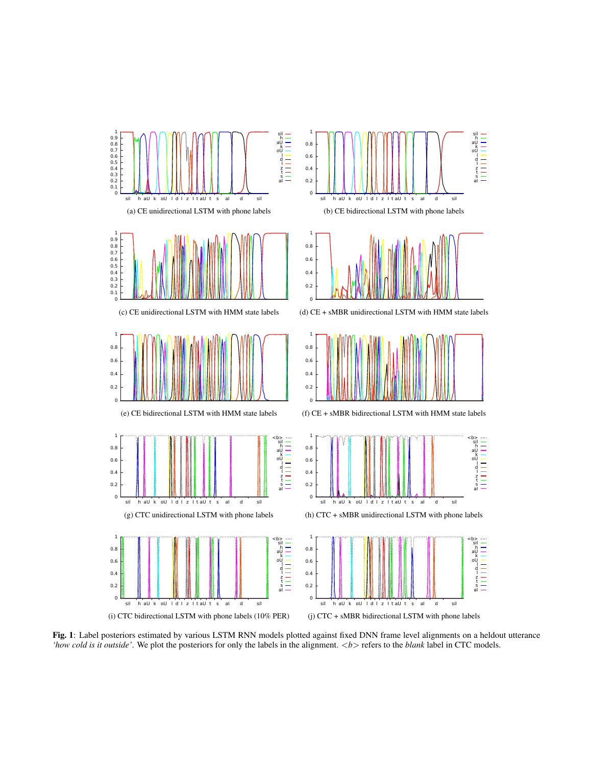

Fig. 1: Label posteriors estimated by various LSTM RNN models plotted against fixed DNN frame level alignments on a heldout utterance *'how cold is it outside'*. We plot the posteriors for only the labels in the alignment. <*b*> refers to the *blank* label in CTC models.